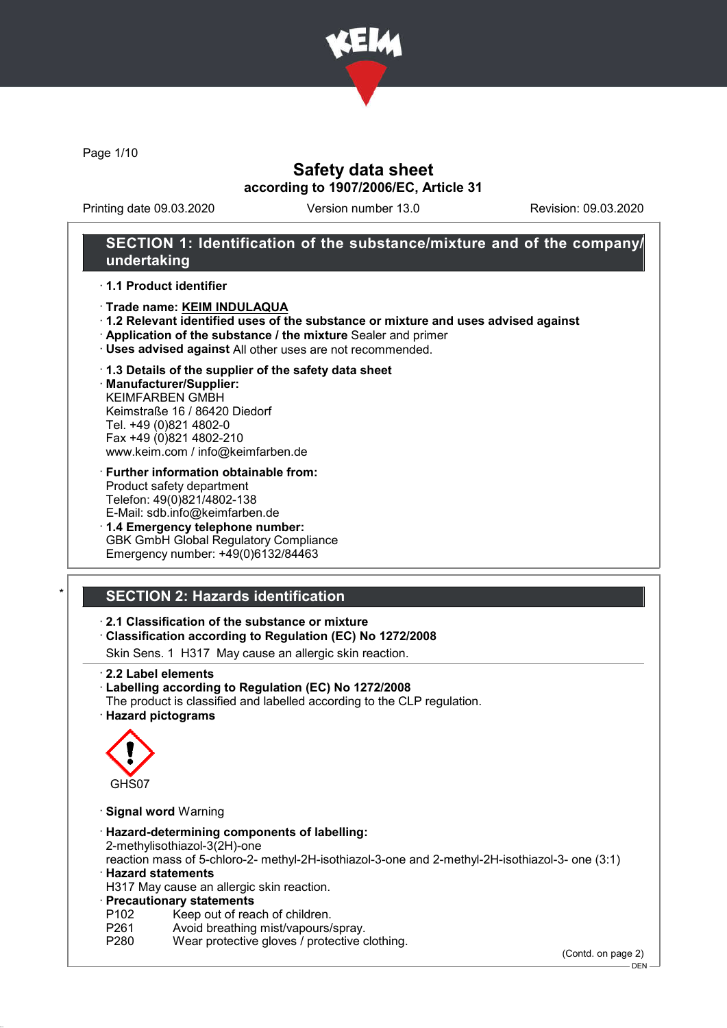

Page 1/10

## Safety data sheet according to 1907/2006/EC, Article 31

Printing date 09.03.2020 Version number 13.0 Revision: 09.03.2020

## SECTION 1: Identification of the substance/mixture and of the company/ undertaking

#### · 1.1 Product identifier

- · Trade name: KEIM INDULAQUA
- · 1.2 Relevant identified uses of the substance or mixture and uses advised against
- · Application of the substance / the mixture Sealer and primer
- · Uses advised against All other uses are not recommended.

#### · 1.3 Details of the supplier of the safety data sheet

· Manufacturer/Supplier: KEIMFARBEN GMBH Keimstraße 16 / 86420 Diedorf Tel. +49 (0)821 4802-0 Fax +49 (0)821 4802-210 www.keim.com / info@keimfarben.de

- · Further information obtainable from: Product safety department Telefon: 49(0)821/4802-138 E-Mail: sdb.info@keimfarben.de
- · 1.4 Emergency telephone number: GBK GmbH Global Regulatory Compliance Emergency number: +49(0)6132/84463

# **SECTION 2: Hazards identification**

### · 2.1 Classification of the substance or mixture

· Classification according to Regulation (EC) No 1272/2008

Skin Sens. 1 H317 May cause an allergic skin reaction.

- · 2.2 Label elements
- · Labelling according to Regulation (EC) No 1272/2008
- The product is classified and labelled according to the CLP regulation.
- · Hazard pictograms



- · Signal word Warning
- · Hazard-determining components of labelling: 2-methylisothiazol-3(2H)-one reaction mass of 5-chloro-2- methyl-2H-isothiazol-3-one and 2-methyl-2H-isothiazol-3- one (3:1)
- · Hazard statements

H317 May cause an allergic skin reaction.

- · Precautionary statements
- P102 Keep out of reach of children.<br>P261 Avoid breathing mist/vapours/
- P261 Avoid breathing mist/vapours/spray.<br>P280 Wear protective gloves / protective o
- Wear protective gloves / protective clothing.

(Contd. on page 2)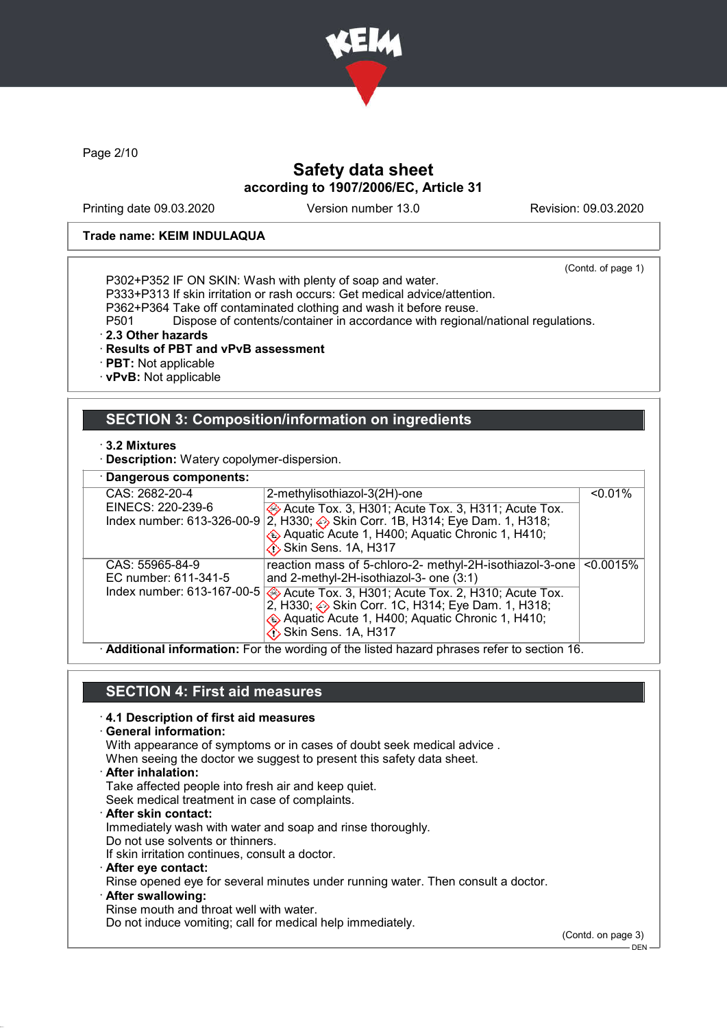

Page 2/10

## Safety data sheet according to 1907/2006/EC, Article 31

Printing date 09.03.2020 Version number 13.0 Revision: 09.03.2020

#### Trade name: KEIM INDULAQUA

(Contd. of page 1)

P302+P352 IF ON SKIN: Wash with plenty of soap and water. P333+P313 If skin irritation or rash occurs: Get medical advice/attention.

P362+P364 Take off contaminated clothing and wash it before reuse.

P501 Dispose of contents/container in accordance with regional/national regulations.

· 2.3 Other hazards

### · Results of PBT and vPvB assessment

· PBT: Not applicable

· vPvB: Not applicable

# SECTION 3: Composition/information on ingredients

· 3.2 Mixtures

· Description: Watery copolymer-dispersion.

| · Dangerous components:                         |                                                                                                                                                     |            |
|-------------------------------------------------|-----------------------------------------------------------------------------------------------------------------------------------------------------|------------|
| CAS: 2682-20-4                                  | 2-methylisothiazol-3(2H)-one                                                                                                                        | $< 0.01\%$ |
| EINECS: 220-239-6<br>Index number: 613-326-00-9 | Acute Tox. 3, H301; Acute Tox. 3, H311; Acute Tox.<br>2, H330; Skin Corr. 1B, H314; Eye Dam. 1, H318;                                               |            |
|                                                 | Aquatic Acute 1, H400; Aquatic Chronic 1, H410;<br><b>∕i</b> Skin Sens. 1A, H317                                                                    |            |
| CAS: 55965-84-9<br>EC number: 611-341-5         | reaction mass of 5-chloro-2- methyl-2H-isothiazol-3-one<br>and 2-methyl-2H-isothiazol-3- one (3:1)                                                  | < 0.0015%  |
|                                                 | Index number: 613-167-00-5 Acute Tox. 3, H301; Acute Tox. 2, H310; Acute Tox. 2, H310; Acute Tox. 2, H330; → Skin Corr. 1C, H314; Eye Dam. 1, H318; |            |
|                                                 | Aquatic Acute 1, H400; Aquatic Chronic 1, H410;<br><b>Skin Sens. 1A, H317</b>                                                                       |            |

· Additional information: For the wording of the listed hazard phrases refer to section 16.

## SECTION 4: First aid measures

### · 4.1 Description of first aid measures

· General information:

With appearance of symptoms or in cases of doubt seek medical advice .

- When seeing the doctor we suggest to present this safety data sheet.
- · After inhalation:

Take affected people into fresh air and keep quiet.

Seek medical treatment in case of complaints.

After skin contact: Immediately wash with water and soap and rinse thoroughly. Do not use solvents or thinners.

If skin irritation continues, consult a doctor.

- · After eye contact:
- Rinse opened eye for several minutes under running water. Then consult a doctor.
- After swallowing:

Rinse mouth and throat well with water.

Do not induce vomiting; call for medical help immediately.

(Contd. on page 3)

DEN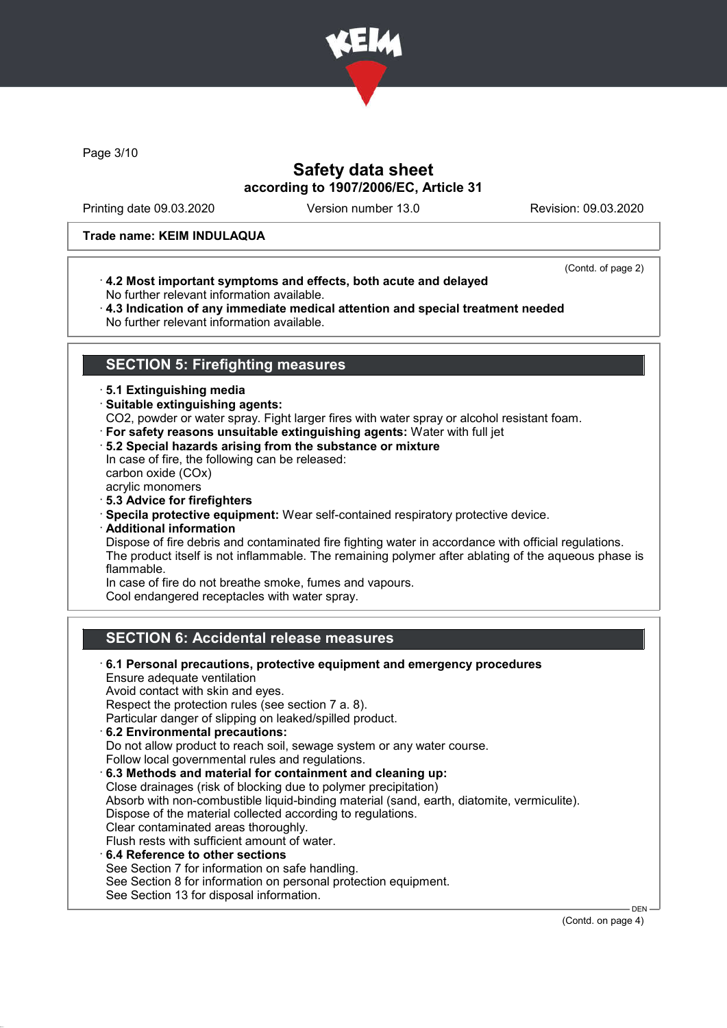

Page 3/10

## Safety data sheet according to 1907/2006/EC, Article 31

Printing date 09.03.2020 Version number 13.0 Revision: 09.03.2020

#### Trade name: KEIM INDULAQUA

· 4.2 Most important symptoms and effects, both acute and delayed No further relevant information available.

(Contd. of page 2)

· 4.3 Indication of any immediate medical attention and special treatment needed No further relevant information available.

## SECTION 5: Firefighting measures

### · 5.1 Extinguishing media

- · Suitable extinguishing agents:
- CO2, powder or water spray. Fight larger fires with water spray or alcohol resistant foam.
- · For safety reasons unsuitable extinguishing agents: Water with full jet
- · 5.2 Special hazards arising from the substance or mixture In case of fire, the following can be released: carbon oxide (COx)

acrylic monomers

- · 5.3 Advice for firefighters
- · Specila protective equipment: Wear self-contained respiratory protective device.
- · Additional information

Dispose of fire debris and contaminated fire fighting water in accordance with official regulations. The product itself is not inflammable. The remaining polymer after ablating of the aqueous phase is flammable.

In case of fire do not breathe smoke, fumes and vapours.

Cool endangered receptacles with water spray.

## SECTION 6: Accidental release measures

· 6.1 Personal precautions, protective equipment and emergency procedures Ensure adequate ventilation Avoid contact with skin and eyes. Respect the protection rules (see section 7 a. 8). Particular danger of slipping on leaked/spilled product. · 6.2 Environmental precautions: Do not allow product to reach soil, sewage system or any water course. Follow local governmental rules and regulations. · 6.3 Methods and material for containment and cleaning up: Close drainages (risk of blocking due to polymer precipitation) Absorb with non-combustible liquid-binding material (sand, earth, diatomite, vermiculite). Dispose of the material collected according to regulations. Clear contaminated areas thoroughly. Flush rests with sufficient amount of water. · 6.4 Reference to other sections See Section 7 for information on safe handling. See Section 8 for information on personal protection equipment. See Section 13 for disposal information. DEN

(Contd. on page 4)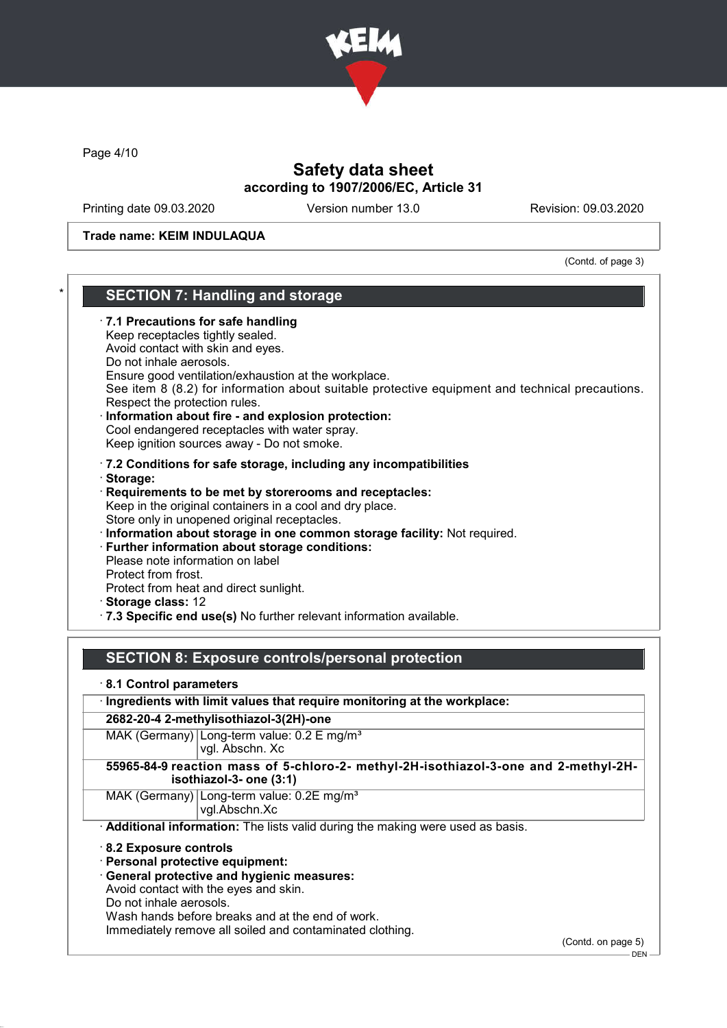

Page 4/10

## Safety data sheet according to 1907/2006/EC, Article 31

Printing date 09.03.2020 Version number 13.0 Revision: 09.03.2020

Trade name: KEIM INDULAQUA

(Contd. of page 3)

## SECTION 7: Handling and storage

### · 7.1 Precautions for safe handling

Keep receptacles tightly sealed.

Avoid contact with skin and eyes.

Do not inhale aerosols.

Ensure good ventilation/exhaustion at the workplace.

See item 8 (8.2) for information about suitable protective equipment and technical precautions. Respect the protection rules.

- Information about fire and explosion protection: Cool endangered receptacles with water spray. Keep ignition sources away - Do not smoke.
- · 7.2 Conditions for safe storage, including any incompatibilities
- · Storage:
- · Requirements to be met by storerooms and receptacles: Keep in the original containers in a cool and dry place. Store only in unopened original receptacles.
- · Information about storage in one common storage facility: Not required.
- · Further information about storage conditions:

Please note information on label Protect from frost. Protect from heat and direct sunlight.

- · Storage class: 12
- · 7.3 Specific end use(s) No further relevant information available.

## SECTION 8: Exposure controls/personal protection

### · 8.1 Control parameters

### · Ingredients with limit values that require monitoring at the workplace:

2682-20-4 2-methylisothiazol-3(2H)-one

MAK (Germany) Long-term value: 0.2 E mg/m<sup>3</sup> vgl. Abschn. Xc

### 55965-84-9 reaction mass of 5-chloro-2- methyl-2H-isothiazol-3-one and 2-methyl-2Hisothiazol-3- one (3:1)

MAK (Germany) Long-term value: 0.2E ma/m<sup>3</sup> vgl.Abschn.Xc

· Additional information: The lists valid during the making were used as basis.

#### · 8.2 Exposure controls

- · Personal protective equipment:
- · General protective and hygienic measures:

Avoid contact with the eyes and skin.

Do not inhale aerosols.

Wash hands before breaks and at the end of work.

Immediately remove all soiled and contaminated clothing.

(Contd. on page 5)

 $-$  DEN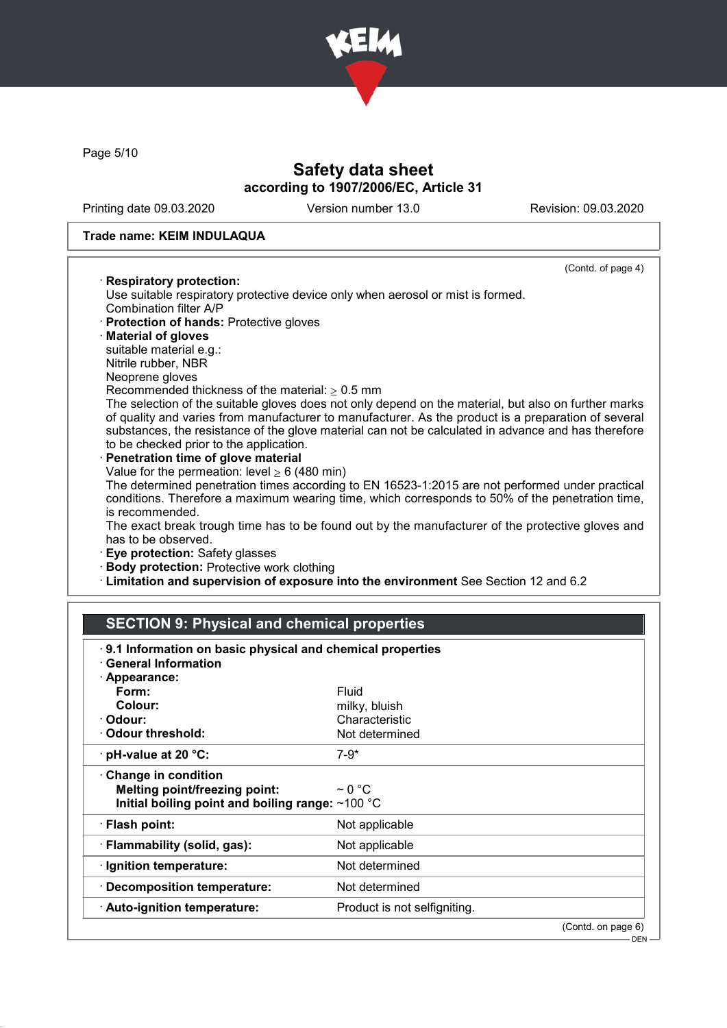

Page 5/10

## Safety data sheet according to 1907/2006/EC, Article 31

Printing date 09.03.2020 Version number 13.0 Revision: 09.03.2020

(Contd. of page 4)

#### Trade name: KEIM INDULAQUA

#### · Respiratory protection:

Use suitable respiratory protective device only when aerosol or mist is formed. Combination filter A/P

- · Protection of hands: Protective gloves
- · Material of gloves

suitable material e.g.:

Nitrile rubber, NBR

Neoprene gloves

Recommended thickness of the material:  $> 0.5$  mm

The selection of the suitable gloves does not only depend on the material, but also on further marks of quality and varies from manufacturer to manufacturer. As the product is a preparation of several substances, the resistance of the glove material can not be calculated in advance and has therefore to be checked prior to the application.

Penetration time of glove material Value for the permeation: level  $\geq 6$  (480 min) The determined penetration times according to EN 16523-1:2015 are not performed under practical

conditions. Therefore a maximum wearing time, which corresponds to 50% of the penetration time, is recommended.

The exact break trough time has to be found out by the manufacturer of the protective gloves and has to be observed.

- · Eye protection: Safety glasses
- · Body protection: Protective work clothing
- · Limitation and supervision of exposure into the environment See Section 12 and 6.2

# SECTION 9: Physical and chemical properties

| 9.1 Information on basic physical and chemical properties<br>· General Information                                      |                                 |                    |
|-------------------------------------------------------------------------------------------------------------------------|---------------------------------|--------------------|
| · Appearance:                                                                                                           |                                 |                    |
| Form:                                                                                                                   | Fluid                           |                    |
| Colour:<br>· Odour:                                                                                                     | milky, bluish<br>Characteristic |                    |
| Odour threshold:                                                                                                        | Not determined                  |                    |
|                                                                                                                         |                                 |                    |
| $\cdot$ pH-value at 20 °C:                                                                                              | $7-9*$                          |                    |
| $\cdot$ Change in condition<br><b>Melting point/freezing point:</b><br>Initial boiling point and boiling range: ~100 °C | $\sim$ 0 °C                     |                    |
| · Flash point:                                                                                                          | Not applicable                  |                    |
| · Flammability (solid, gas):                                                                                            | Not applicable                  |                    |
| · Ignition temperature:                                                                                                 | Not determined                  |                    |
| · Decomposition temperature:                                                                                            | Not determined                  |                    |
| · Auto-ignition temperature:                                                                                            | Product is not selfigniting.    |                    |
|                                                                                                                         |                                 | (Contd. on page 6) |
|                                                                                                                         |                                 | $DEN -$            |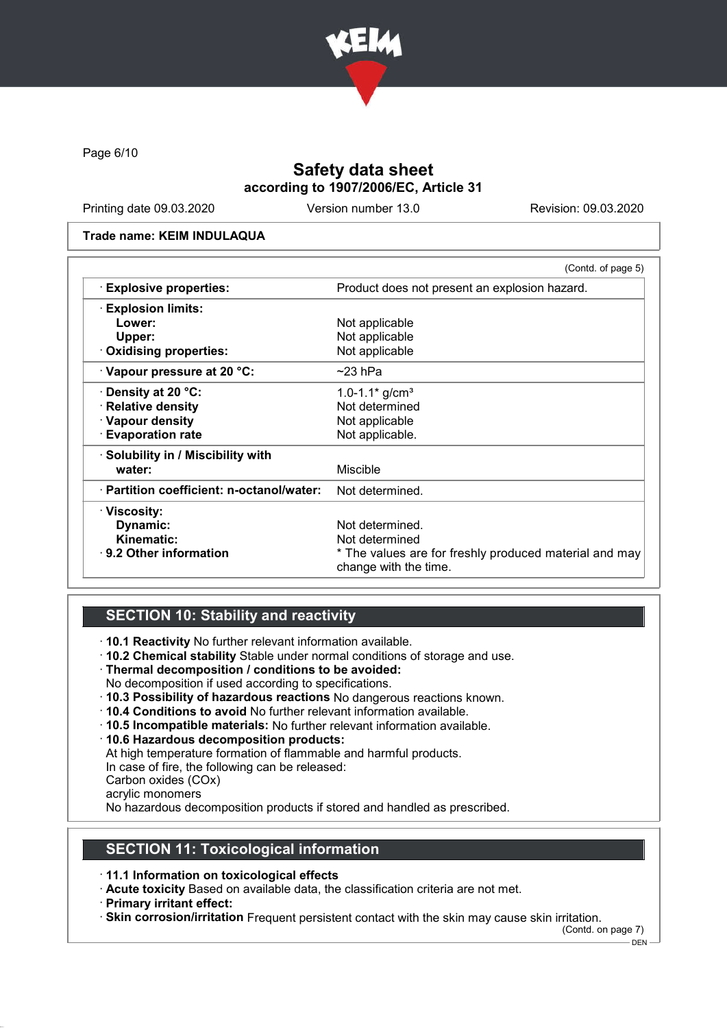

Page 6/10

## Safety data sheet according to 1907/2006/EC, Article 31

Printing date 09.03.2020 Version number 13.0 Revision: 09.03.2020

#### Trade name: KEIM INDULAQUA

|                                           | (Contd. of page 5)                                                              |  |
|-------------------------------------------|---------------------------------------------------------------------------------|--|
| <b>Explosive properties:</b>              | Product does not present an explosion hazard.                                   |  |
| <b>Explosion limits:</b>                  |                                                                                 |  |
| Lower:                                    | Not applicable                                                                  |  |
| Upper:                                    | Not applicable                                                                  |  |
| Oxidising properties:                     | Not applicable                                                                  |  |
| Vapour pressure at 20 °C:                 | $~23$ hPa                                                                       |  |
| · Density at 20 °C:                       | $1.0 - 1.1*$ g/cm <sup>3</sup>                                                  |  |
| · Relative density                        | Not determined                                                                  |  |
| · Vapour density                          | Not applicable                                                                  |  |
| $\cdot$ Evaporation rate                  | Not applicable.                                                                 |  |
| · Solubility in / Miscibility with        |                                                                                 |  |
| water:                                    | <b>Miscible</b>                                                                 |  |
| · Partition coefficient: n-octanol/water: | Not determined.                                                                 |  |
| · Viscosity:                              |                                                                                 |  |
| Dynamic:                                  | Not determined.                                                                 |  |
| Kinematic:                                | Not determined                                                                  |  |
| $\cdot$ 9.2 Other information             | * The values are for freshly produced material and may<br>change with the time. |  |

## SECTION 10: Stability and reactivity

· 10.1 Reactivity No further relevant information available.

- · 10.2 Chemical stability Stable under normal conditions of storage and use.
- · Thermal decomposition / conditions to be avoided:
- No decomposition if used according to specifications.
- · 10.3 Possibility of hazardous reactions No dangerous reactions known.
- · 10.4 Conditions to avoid No further relevant information available.
- · 10.5 Incompatible materials: No further relevant information available.
- · 10.6 Hazardous decomposition products:

At high temperature formation of flammable and harmful products.

In case of fire, the following can be released:

Carbon oxides (COx)

acrylic monomers

No hazardous decomposition products if stored and handled as prescribed.

## SECTION 11: Toxicological information

· 11.1 Information on toxicological effects

· Acute toxicity Based on available data, the classification criteria are not met.

· Primary irritant effect:

· Skin corrosion/irritation Frequent persistent contact with the skin may cause skin irritation.

(Contd. on page 7)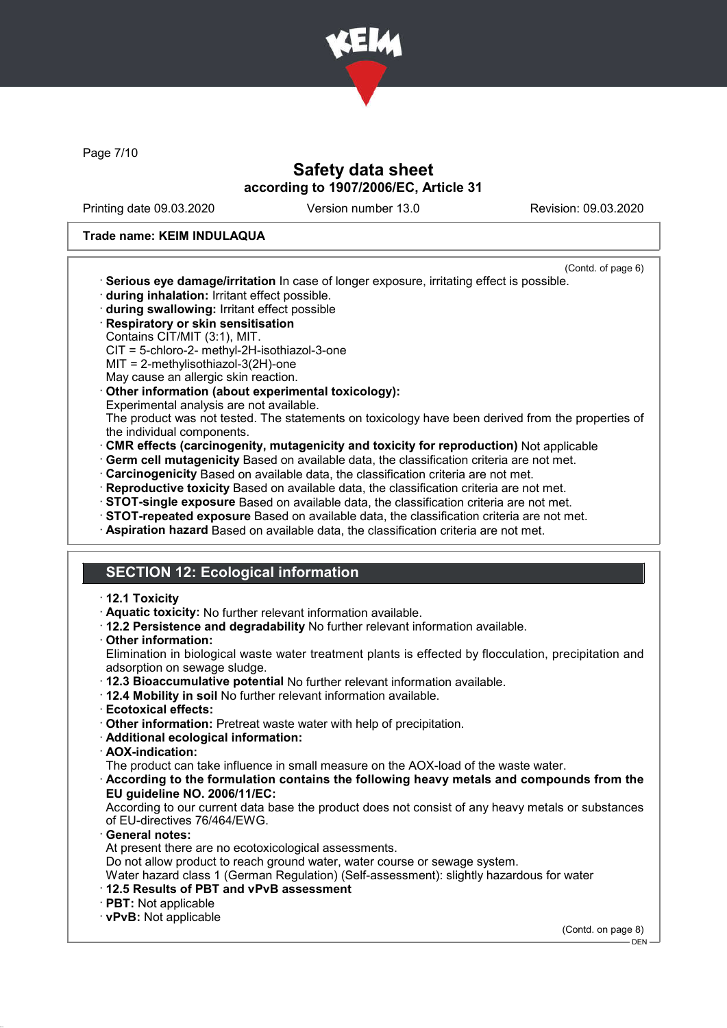

Page 7/10

## Safety data sheet according to 1907/2006/EC, Article 31

Printing date 09.03.2020 Version number 13.0 Revision: 09.03.2020

#### Trade name: KEIM INDULAQUA

- (Contd. of page 6) · Serious eye damage/irritation In case of longer exposure, irritating effect is possible.
- · during inhalation: Irritant effect possible.
- · during swallowing: Irritant effect possible
- · Respiratory or skin sensitisation
- Contains CIT/MIT (3:1), MIT.
- CIT = 5-chloro-2- methyl-2H-isothiazol-3-one
- MIT = 2-methylisothiazol-3(2H)-one
- May cause an allergic skin reaction.
- · Other information (about experimental toxicology):
- Experimental analysis are not available.

The product was not tested. The statements on toxicology have been derived from the properties of the individual components.

- · CMR effects (carcinogenity, mutagenicity and toxicity for reproduction) Not applicable
- · Germ cell mutagenicity Based on available data, the classification criteria are not met.
- · Carcinogenicity Based on available data, the classification criteria are not met.
- · Reproductive toxicity Based on available data, the classification criteria are not met.
- · STOT-single exposure Based on available data, the classification criteria are not met.
- · STOT-repeated exposure Based on available data, the classification criteria are not met.
- · Aspiration hazard Based on available data, the classification criteria are not met.

## SECTION 12: Ecological information

#### · 12.1 Toxicity

- · Aquatic toxicity: No further relevant information available.
- · 12.2 Persistence and degradability No further relevant information available.
- · Other information:

Elimination in biological waste water treatment plants is effected by flocculation, precipitation and adsorption on sewage sludge.

- · 12.3 Bioaccumulative potential No further relevant information available.
- · 12.4 Mobility in soil No further relevant information available.
- · Ecotoxical effects:
- · Other information: Pretreat waste water with help of precipitation.
- · Additional ecological information:
- · AOX-indication:

The product can take influence in small measure on the AOX-load of the waste water.

· According to the formulation contains the following heavy metals and compounds from the EU guideline NO. 2006/11/EC:

According to our current data base the product does not consist of any heavy metals or substances of EU-directives 76/464/EWG.

General notes: At present there are no ecotoxicological assessments.

Do not allow product to reach ground water, water course or sewage system.

Water hazard class 1 (German Regulation) (Self-assessment): slightly hazardous for water

- · 12.5 Results of PBT and vPvB assessment
- · PBT: Not applicable

· vPvB: Not applicable

(Contd. on page 8)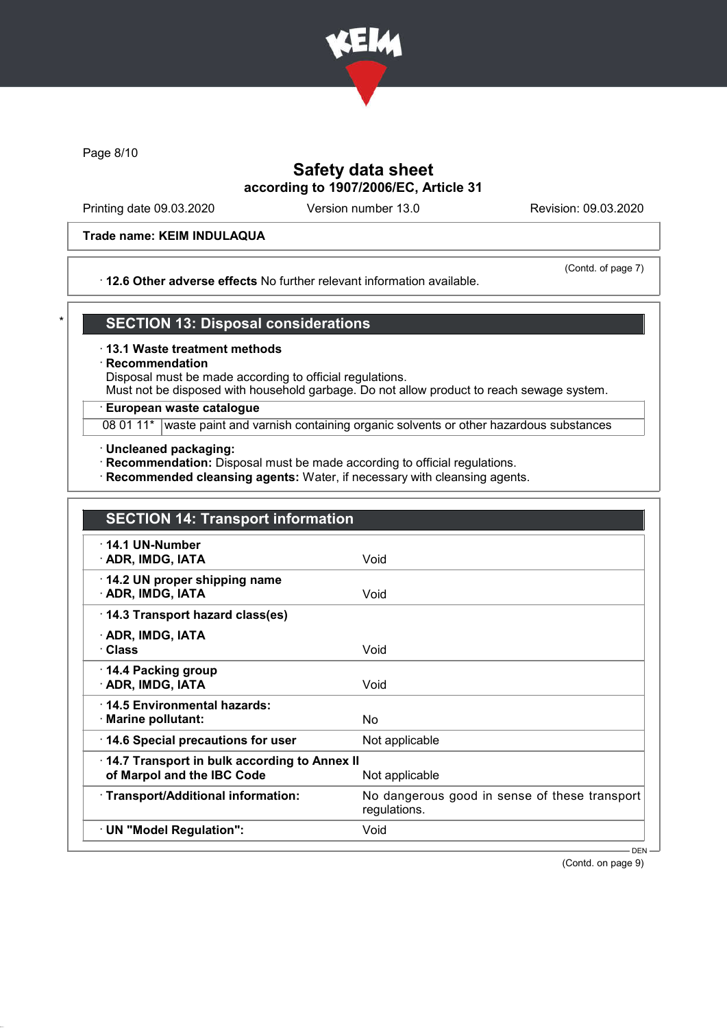

Page 8/10

# Safety data sheet according to 1907/2006/EC, Article 31

Printing date 09.03.2020 Version number 13.0 Revision: 09.03.2020

#### Trade name: KEIM INDULAQUA

### · 12.6 Other adverse effects No further relevant information available.

(Contd. of page 7)

## **SECTION 13: Disposal considerations**

· 13.1 Waste treatment methods

### **Recommendation**

Disposal must be made according to official regulations.

Must not be disposed with household garbage. Do not allow product to reach sewage system.

### · European waste catalogue

08 01 11\* waste paint and varnish containing organic solvents or other hazardous substances

· Uncleaned packaging:

· Recommendation: Disposal must be made according to official regulations.

· Recommended cleansing agents: Water, if necessary with cleansing agents.

| <b>SECTION 14: Transport information</b>                                   |                                                               |
|----------------------------------------------------------------------------|---------------------------------------------------------------|
| $\cdot$ 14.1 UN-Number<br>· ADR, IMDG, IATA                                | Void                                                          |
| 14.2 UN proper shipping name<br>· ADR, IMDG, IATA                          | Void                                                          |
| 14.3 Transport hazard class(es)                                            |                                                               |
| · ADR, IMDG, IATA<br>· Class                                               | Void                                                          |
| 14.4 Packing group<br>· ADR, IMDG, IATA                                    | Void                                                          |
| 14.5 Environmental hazards:<br>· Marine pollutant:                         | No                                                            |
| 14.6 Special precautions for user                                          | Not applicable                                                |
| 14.7 Transport in bulk according to Annex II<br>of Marpol and the IBC Code | Not applicable                                                |
| · Transport/Additional information:                                        | No dangerous good in sense of these transport<br>regulations. |
| · UN "Model Regulation":                                                   | Void                                                          |
|                                                                            | $DEN -$                                                       |

(Contd. on page 9)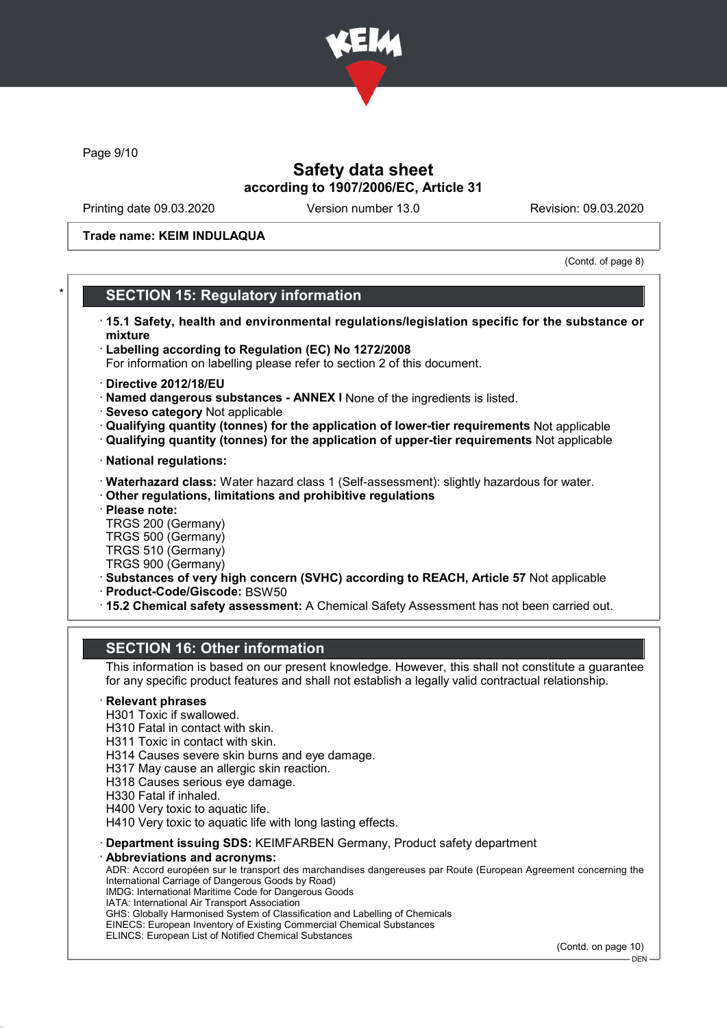

Page 9/10

## Safety data sheet according to 1907/2006/EC, Article 31

Printing date 09.03.2020 Version number 13.0 Revision: 09.03.2020

Trade name: KEIM INDULAQUA

(Contd. of page 8)

## **SECTION 15: Regulatory information**

- · 15.1 Safety, health and environmental regulations/legislation specific for the substance or mixture
- · Labelling according to Regulation (EC) No 1272/2008
- For information on labelling please refer to section 2 of this document.
- · Directive 2012/18/EU
- · Named dangerous substances ANNEX I None of the ingredients is listed.
- · Seveso category Not applicable
- · Qualifying quantity (tonnes) for the application of lower-tier requirements Not applicable
- · Qualifying quantity (tonnes) for the application of upper-tier requirements Not applicable
- · National regulations:
- · Waterhazard class: Water hazard class 1 (Self-assessment): slightly hazardous for water.
- · Other regulations, limitations and prohibitive regulations
- · Please note:
- TRGS 200 (Germany)
- TRGS 500 (Germany) TRGS 510 (Germany)
- TRGS 900 (Germany)
- · Substances of very high concern (SVHC) according to REACH, Article 57 Not applicable
- · Product-Code/Giscode: BSW50
- · 15.2 Chemical safety assessment: A Chemical Safety Assessment has not been carried out.

## SECTION 16: Other information

This information is based on our present knowledge. However, this shall not constitute a guarantee for any specific product features and shall not establish a legally valid contractual relationship.

### **Relevant phrases**

- H301 Toxic if swallowed.
- H310 Fatal in contact with skin.
- H311 Toxic in contact with skin.
- H314 Causes severe skin burns and eye damage.
- H317 May cause an allergic skin reaction.
- H318 Causes serious eye damage.
- H330 Fatal if inhaled.
- H400 Very toxic to aquatic life.
- H410 Very toxic to aquatic life with long lasting effects.
- · Department issuing SDS: KEIMFARBEN Germany, Product safety department
- Abbreviations and acronyms:

ADR: Accord européen sur le transport des marchandises dangereuses par Route (European Agreement concerning the International Carriage of Dangerous Goods by Road) IMDG: International Maritime Code for Dangerous Goods

- IATA: International Air Transport Association
- GHS: Globally Harmonised System of Classification and Labelling of Chemicals
- EINECS: European Inventory of Existing Commercial Chemical Substances
- ELINCS: European List of Notified Chemical Substances

(Contd. on page 10)

DEN